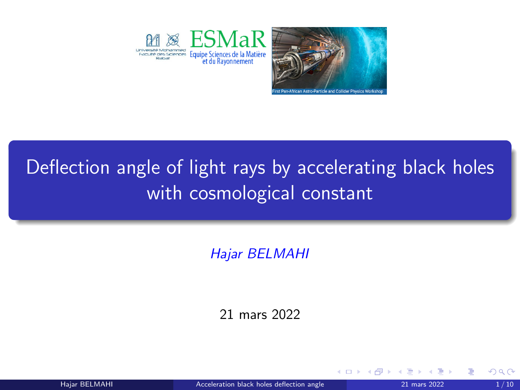<span id="page-0-0"></span>



4日下

# Deflection angle of light rays by accelerating black holes with cosmological constant

Hajar BELMAHI

21 mars 2022

Hajar BELMAHI **[Acceleration black holes deflection angle](#page-9-0)** 21 mars 2022 1/10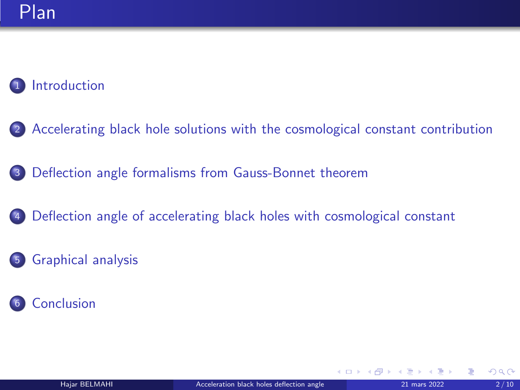#### **[Introduction](#page-2-0)**

- <sup>2</sup> [Accelerating black hole solutions with the cosmological constant contribution](#page-3-0)
- <sup>3</sup> [Deflection angle formalisms from Gauss-Bonnet theorem](#page-4-0)
- <sup>4</sup> [Deflection angle of accelerating black holes with cosmological constant](#page-6-0)
- <sup>5</sup> [Graphical analysis](#page-7-0)
- **[Conclusion](#page-8-0)**

 $\Omega$ 

(Brix Kr Br

**K ロ ▶ K 何 ▶ K**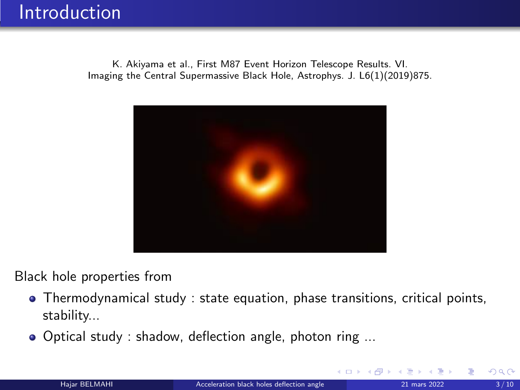<span id="page-2-0"></span>K. Akiyama et al., First M87 Event Horizon Telescope Results. VI. Imaging the Central Supermassive Black Hole, Astrophys. J. L6(1)(2019)875.



Black hole properties from

- Thermodynamical study : state equation, phase transitions, critical points, stability...
- Optical study : shadow, deflection angle, photon ring ...

 $\leftarrow$   $\leftarrow$   $\leftarrow$   $\leftarrow$   $\leftarrow$   $\leftarrow$   $\leftarrow$   $\leftarrow$   $\leftarrow$   $\leftarrow$   $\leftarrow$   $\leftarrow$   $\leftarrow$   $\leftarrow$   $\leftarrow$   $\leftarrow$   $\leftarrow$   $\leftarrow$   $\leftarrow$   $\leftarrow$   $\leftarrow$   $\leftarrow$   $\leftarrow$   $\leftarrow$   $\leftarrow$   $\leftarrow$   $\leftarrow$   $\leftarrow$   $\leftarrow$   $\leftarrow$   $\leftarrow$   $\leftarrow$   $\leftarrow$   $\leftarrow$   $\leftarrow$   $\leftarrow$   $\leftarrow$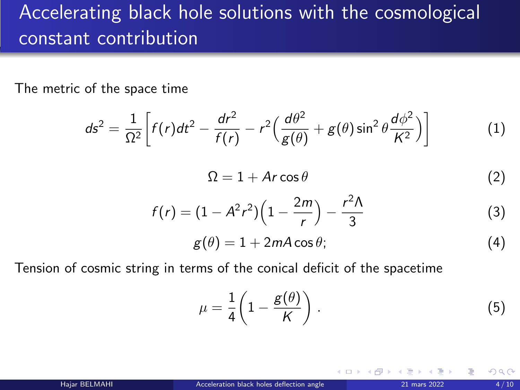### <span id="page-3-0"></span>Accelerating black hole solutions with the cosmological constant contribution

The metric of the space time

$$
ds^{2} = \frac{1}{\Omega^{2}} \left[ f(r)dt^{2} - \frac{dr^{2}}{f(r)} - r^{2} \left( \frac{d\theta^{2}}{g(\theta)} + g(\theta)\sin^{2}\theta \frac{d\phi^{2}}{K^{2}} \right) \right]
$$
(1)  

$$
\Omega = 1 + Ar\cos\theta
$$
(2)  

$$
f(r) = (1 - A^{2}r^{2}) \left( 1 - \frac{2m}{r} \right) - \frac{r^{2}\Lambda}{3}
$$
(3)  

$$
g(\theta) = 1 + 2mA\cos\theta;
$$
(4)

Tension of cosmic string in terms of the conical deficit of the spacetime

$$
\mu = \frac{1}{4} \left( 1 - \frac{g(\theta)}{K} \right). \tag{5}
$$

(□ ) ( ) +

 $\Omega$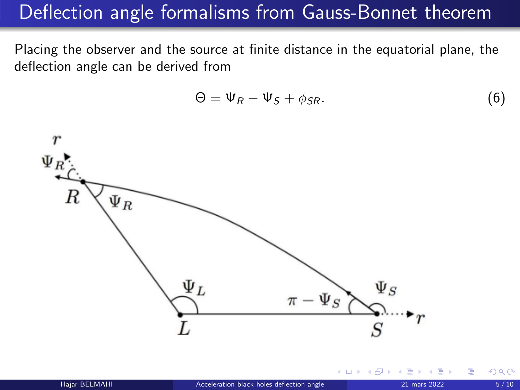#### <span id="page-4-0"></span>Deflection angle formalisms from Gauss-Bonnet theorem

Placing the observer and the source at finite distance in the equatorial plane, the deflection angle can be derived from

$$
\Theta = \Psi_R - \Psi_S + \phi_{SR}.\tag{6}
$$

4 0 8

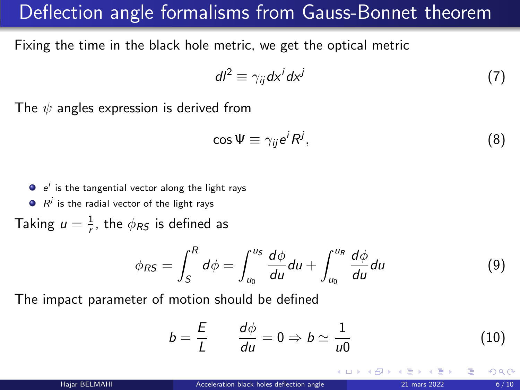#### Deflection angle formalisms from Gauss-Bonnet theorem

Fixing the time in the black hole metric, we get the optical metric

$$
dl^2 \equiv \gamma_{ij} dx^i dx^j \tag{7}
$$

The  $\psi$  angles expression is derived from

$$
\cos \Psi \equiv \gamma_{ij} e^i R^j, \tag{8}
$$

 $e^{i}$  is the tangential vector along the light rays

 $R^j$  is the radial vector of the light rays

Taking  $u = \frac{1}{r}$ , the  $\phi_{RS}$  is defined as

$$
\phi_{RS} = \int_S^R d\phi = \int_{u_0}^{u_S} \frac{d\phi}{du} du + \int_{u_0}^{u_R} \frac{d\phi}{du} du \tag{9}
$$

The impact parameter of motion should be defined

$$
b = \frac{E}{L} \qquad \frac{d\phi}{du} = 0 \Rightarrow b \simeq \frac{1}{u0} \tag{10}
$$

റാ റ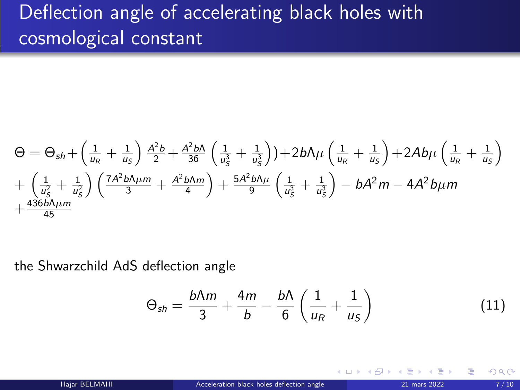## <span id="page-6-0"></span>Deflection angle of accelerating black holes with cosmological constant

$$
\Theta = \Theta_{sh} + \left(\frac{1}{u_R} + \frac{1}{u_S}\right) \frac{A^2 b}{2} + \frac{A^2 b \Lambda}{36} \left(\frac{1}{u_S^2} + \frac{1}{u_S^2}\right) + 2b \Lambda \mu \left(\frac{1}{u_R} + \frac{1}{u_S}\right) + 2A b \mu \left(\frac{1}{u_R} + \frac{1}{u_S}\right) + \left(\frac{1}{u_S^2} + \frac{1}{u_S^2}\right) \left(\frac{7A^2 b \Lambda \mu m}{3} + \frac{A^2 b \Lambda m}{4}\right) + \frac{5A^2 b \Lambda \mu}{9} \left(\frac{1}{u_S^2} + \frac{1}{u_S^2}\right) - bA^2 m - 4A^2 b \mu m + \frac{436b \Lambda \mu m}{45}
$$

the Shwarzchild AdS deflection angle

$$
\Theta_{sh} = \frac{b\Lambda m}{3} + \frac{4m}{b} - \frac{b\Lambda}{6} \left( \frac{1}{u_R} + \frac{1}{u_S} \right) \tag{11}
$$

不自下

 $\Omega$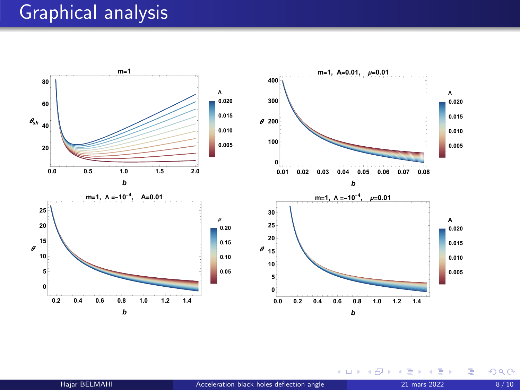#### <span id="page-7-0"></span>Graphical analysis



Ε Пb. 活

**K ロ ト K 伊 ト K 毛**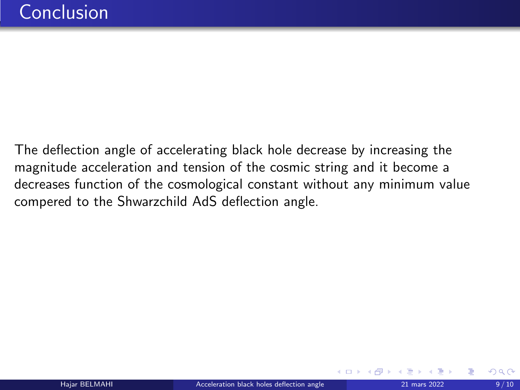<span id="page-8-0"></span>The deflection angle of accelerating black hole decrease by increasing the magnitude acceleration and tension of the cosmic string and it become a decreases function of the cosmological constant without any minimum value compered to the Shwarzchild AdS deflection angle.

**4 ロ ▶ 4 何 ▶ 4**